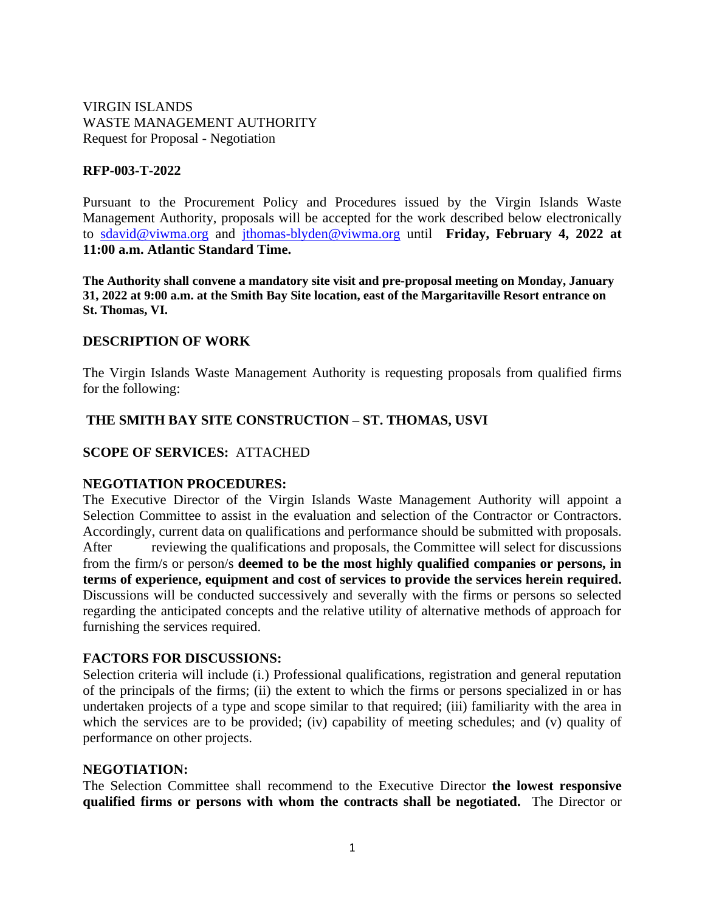VIRGIN ISLANDS WASTE MANAGEMENT AUTHORITY Request for Proposal - Negotiation

### **RFP-003-T-2022**

Pursuant to the Procurement Policy and Procedures issued by the Virgin Islands Waste Management Authority, proposals will be accepted for the work described below electronically to [sdavid@viwma.org](mailto:sdavid@viwma.org) and [jthomas-blyden@viwma.org](mailto:jthomas-blyden@viwma.org) until **Friday, February 4, 2022 at 11:00 a.m. Atlantic Standard Time.**

**The Authority shall convene a mandatory site visit and pre-proposal meeting on Monday, January 31, 2022 at 9:00 a.m. at the Smith Bay Site location, east of the Margaritaville Resort entrance on St. Thomas, VI.**

### **DESCRIPTION OF WORK**

The Virgin Islands Waste Management Authority is requesting proposals from qualified firms for the following:

### **THE SMITH BAY SITE CONSTRUCTION – ST. THOMAS, USVI**

### **SCOPE OF SERVICES:** ATTACHED

### **NEGOTIATION PROCEDURES:**

The Executive Director of the Virgin Islands Waste Management Authority will appoint a Selection Committee to assist in the evaluation and selection of the Contractor or Contractors. Accordingly, current data on qualifications and performance should be submitted with proposals. After reviewing the qualifications and proposals, the Committee will select for discussions from the firm/s or person/s **deemed to be the most highly qualified companies or persons, in terms of experience, equipment and cost of services to provide the services herein required.**  Discussions will be conducted successively and severally with the firms or persons so selected regarding the anticipated concepts and the relative utility of alternative methods of approach for furnishing the services required.

### **FACTORS FOR DISCUSSIONS:**

Selection criteria will include (i.) Professional qualifications, registration and general reputation of the principals of the firms; (ii) the extent to which the firms or persons specialized in or has undertaken projects of a type and scope similar to that required; (iii) familiarity with the area in which the services are to be provided; (iv) capability of meeting schedules; and (v) quality of performance on other projects.

#### **NEGOTIATION:**

The Selection Committee shall recommend to the Executive Director **the lowest responsive qualified firms or persons with whom the contracts shall be negotiated.** The Director or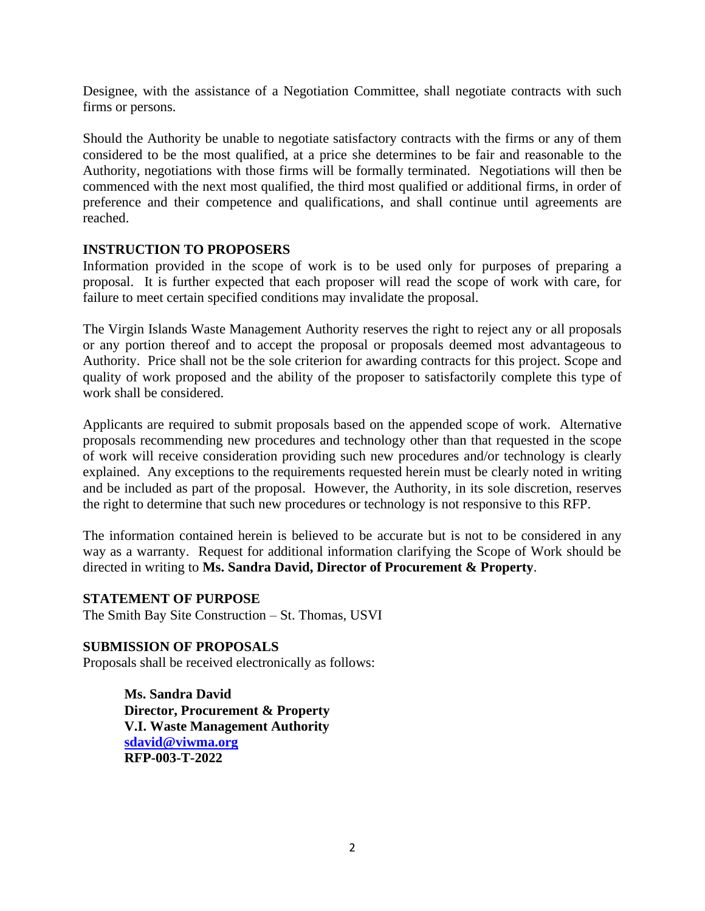Designee, with the assistance of a Negotiation Committee, shall negotiate contracts with such firms or persons.

Should the Authority be unable to negotiate satisfactory contracts with the firms or any of them considered to be the most qualified, at a price she determines to be fair and reasonable to the Authority, negotiations with those firms will be formally terminated. Negotiations will then be commenced with the next most qualified, the third most qualified or additional firms, in order of preference and their competence and qualifications, and shall continue until agreements are reached.

### **INSTRUCTION TO PROPOSERS**

Information provided in the scope of work is to be used only for purposes of preparing a proposal. It is further expected that each proposer will read the scope of work with care, for failure to meet certain specified conditions may invalidate the proposal.

The Virgin Islands Waste Management Authority reserves the right to reject any or all proposals or any portion thereof and to accept the proposal or proposals deemed most advantageous to Authority. Price shall not be the sole criterion for awarding contracts for this project. Scope and quality of work proposed and the ability of the proposer to satisfactorily complete this type of work shall be considered.

Applicants are required to submit proposals based on the appended scope of work. Alternative proposals recommending new procedures and technology other than that requested in the scope of work will receive consideration providing such new procedures and/or technology is clearly explained. Any exceptions to the requirements requested herein must be clearly noted in writing and be included as part of the proposal. However, the Authority, in its sole discretion, reserves the right to determine that such new procedures or technology is not responsive to this RFP.

The information contained herein is believed to be accurate but is not to be considered in any way as a warranty. Request for additional information clarifying the Scope of Work should be directed in writing to **Ms. Sandra David, Director of Procurement & Property**.

### **STATEMENT OF PURPOSE**

The Smith Bay Site Construction – St. Thomas, USVI

#### **SUBMISSION OF PROPOSALS**

Proposals shall be received electronically as follows:

**Ms. Sandra David Director, Procurement & Property V.I. Waste Management Authority [sdavid@viwma.org](mailto:sdavid@viwma.org) RFP-003-T-2022**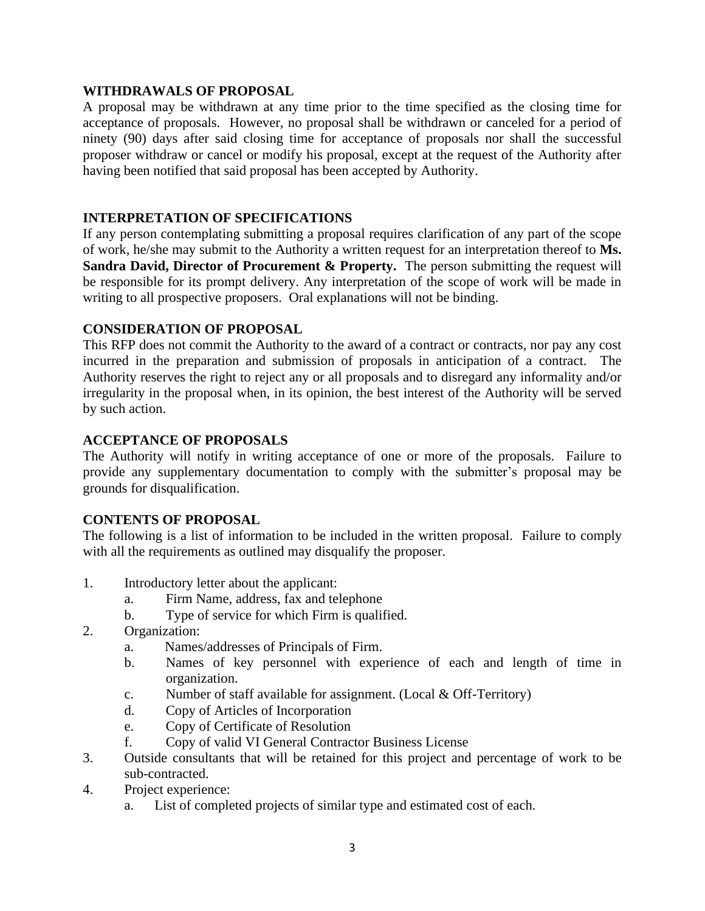### **WITHDRAWALS OF PROPOSAL**

A proposal may be withdrawn at any time prior to the time specified as the closing time for acceptance of proposals. However, no proposal shall be withdrawn or canceled for a period of ninety (90) days after said closing time for acceptance of proposals nor shall the successful proposer withdraw or cancel or modify his proposal, except at the request of the Authority after having been notified that said proposal has been accepted by Authority.

### **INTERPRETATION OF SPECIFICATIONS**

If any person contemplating submitting a proposal requires clarification of any part of the scope of work, he/she may submit to the Authority a written request for an interpretation thereof to **Ms. Sandra David, Director of Procurement & Property.** The person submitting the request will be responsible for its prompt delivery. Any interpretation of the scope of work will be made in writing to all prospective proposers. Oral explanations will not be binding.

### **CONSIDERATION OF PROPOSAL**

This RFP does not commit the Authority to the award of a contract or contracts, nor pay any cost incurred in the preparation and submission of proposals in anticipation of a contract. The Authority reserves the right to reject any or all proposals and to disregard any informality and/or irregularity in the proposal when, in its opinion, the best interest of the Authority will be served by such action.

### **ACCEPTANCE OF PROPOSALS**

The Authority will notify in writing acceptance of one or more of the proposals. Failure to provide any supplementary documentation to comply with the submitter's proposal may be grounds for disqualification.

### **CONTENTS OF PROPOSAL**

The following is a list of information to be included in the written proposal. Failure to comply with all the requirements as outlined may disqualify the proposer.

- 1. Introductory letter about the applicant:
	- a. Firm Name, address, fax and telephone
	- b. Type of service for which Firm is qualified.
- 2. Organization:
	- a. Names/addresses of Principals of Firm.
	- b. Names of key personnel with experience of each and length of time in organization.
	- c. Number of staff available for assignment. (Local & Off-Territory)
	- d. Copy of Articles of Incorporation
	- e. Copy of Certificate of Resolution
	- f. Copy of valid VI General Contractor Business License
- 3. Outside consultants that will be retained for this project and percentage of work to be sub-contracted.
- 4. Project experience:
	- a. List of completed projects of similar type and estimated cost of each.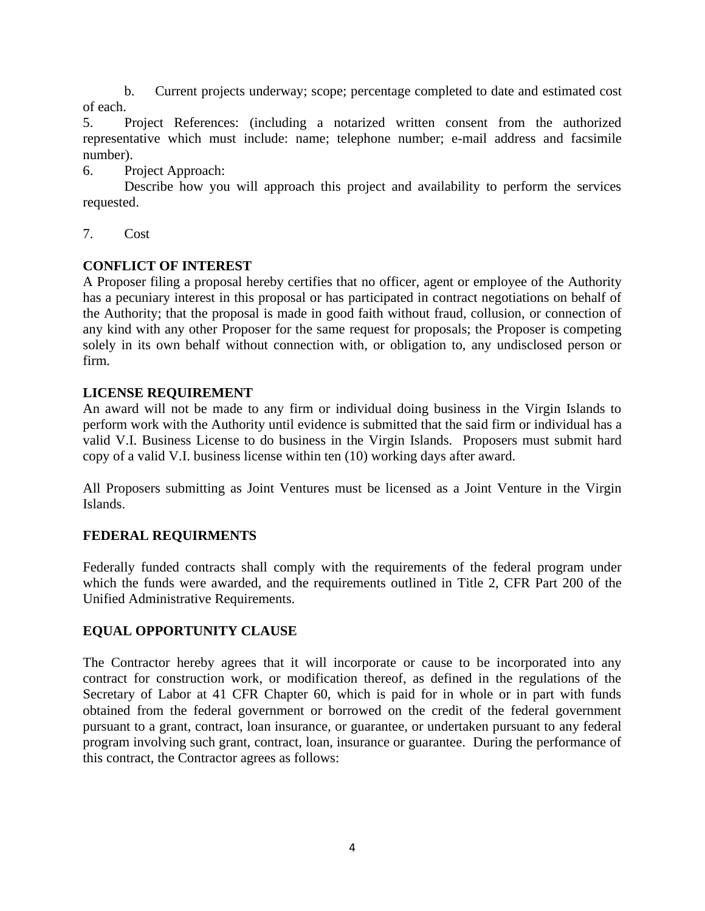b. Current projects underway; scope; percentage completed to date and estimated cost of each.

5. Project References: (including a notarized written consent from the authorized representative which must include: name; telephone number; e-mail address and facsimile number).

6. Project Approach:

Describe how you will approach this project and availability to perform the services requested.

7. Cost

### **CONFLICT OF INTEREST**

A Proposer filing a proposal hereby certifies that no officer, agent or employee of the Authority has a pecuniary interest in this proposal or has participated in contract negotiations on behalf of the Authority; that the proposal is made in good faith without fraud, collusion, or connection of any kind with any other Proposer for the same request for proposals; the Proposer is competing solely in its own behalf without connection with, or obligation to, any undisclosed person or firm.

### **LICENSE REQUIREMENT**

An award will not be made to any firm or individual doing business in the Virgin Islands to perform work with the Authority until evidence is submitted that the said firm or individual has a valid V.I. Business License to do business in the Virgin Islands. Proposers must submit hard copy of a valid V.I. business license within ten (10) working days after award.

All Proposers submitting as Joint Ventures must be licensed as a Joint Venture in the Virgin Islands.

### **FEDERAL REQUIRMENTS**

Federally funded contracts shall comply with the requirements of the federal program under which the funds were awarded, and the requirements outlined in Title 2, CFR Part 200 of the Unified Administrative Requirements.

### **EQUAL OPPORTUNITY CLAUSE**

The Contractor hereby agrees that it will incorporate or cause to be incorporated into any contract for construction work, or modification thereof, as defined in the regulations of the Secretary of Labor at 41 CFR Chapter 60, which is paid for in whole or in part with funds obtained from the federal government or borrowed on the credit of the federal government pursuant to a grant, contract, loan insurance, or guarantee, or undertaken pursuant to any federal program involving such grant, contract, loan, insurance or guarantee. During the performance of this contract, the Contractor agrees as follows: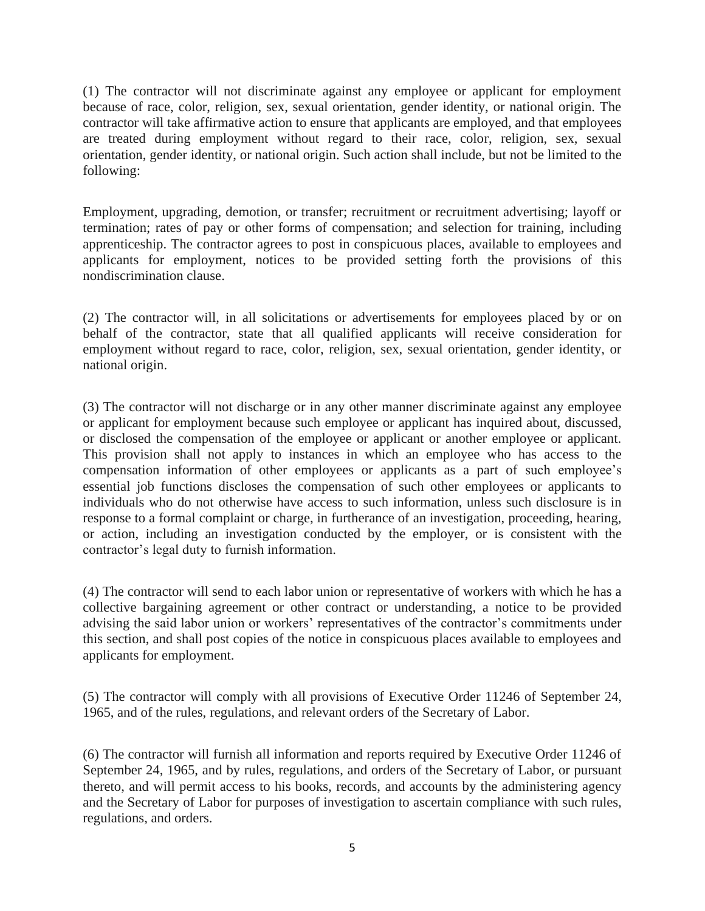(1) The contractor will not discriminate against any employee or applicant for employment because of race, color, religion, sex, sexual orientation, gender identity, or national origin. The contractor will take affirmative action to ensure that applicants are employed, and that employees are treated during employment without regard to their race, color, religion, sex, sexual orientation, gender identity, or national origin. Such action shall include, but not be limited to the following:

Employment, upgrading, demotion, or transfer; recruitment or recruitment advertising; layoff or termination; rates of pay or other forms of compensation; and selection for training, including apprenticeship. The contractor agrees to post in conspicuous places, available to employees and applicants for employment, notices to be provided setting forth the provisions of this nondiscrimination clause.

(2) The contractor will, in all solicitations or advertisements for employees placed by or on behalf of the contractor, state that all qualified applicants will receive consideration for employment without regard to race, color, religion, sex, sexual orientation, gender identity, or national origin.

(3) The contractor will not discharge or in any other manner discriminate against any employee or applicant for employment because such employee or applicant has inquired about, discussed, or disclosed the compensation of the employee or applicant or another employee or applicant. This provision shall not apply to instances in which an employee who has access to the compensation information of other employees or applicants as a part of such employee's essential job functions discloses the compensation of such other employees or applicants to individuals who do not otherwise have access to such information, unless such disclosure is in response to a formal complaint or charge, in furtherance of an investigation, proceeding, hearing, or action, including an investigation conducted by the employer, or is consistent with the contractor's legal duty to furnish information.

(4) The contractor will send to each labor union or representative of workers with which he has a collective bargaining agreement or other contract or understanding, a notice to be provided advising the said labor union or workers' representatives of the contractor's commitments under this section, and shall post copies of the notice in conspicuous places available to employees and applicants for employment.

(5) The contractor will comply with all provisions of Executive Order 11246 of September 24, 1965, and of the rules, regulations, and relevant orders of the Secretary of Labor.

(6) The contractor will furnish all information and reports required by Executive Order 11246 of September 24, 1965, and by rules, regulations, and orders of the Secretary of Labor, or pursuant thereto, and will permit access to his books, records, and accounts by the administering agency and the Secretary of Labor for purposes of investigation to ascertain compliance with such rules, regulations, and orders.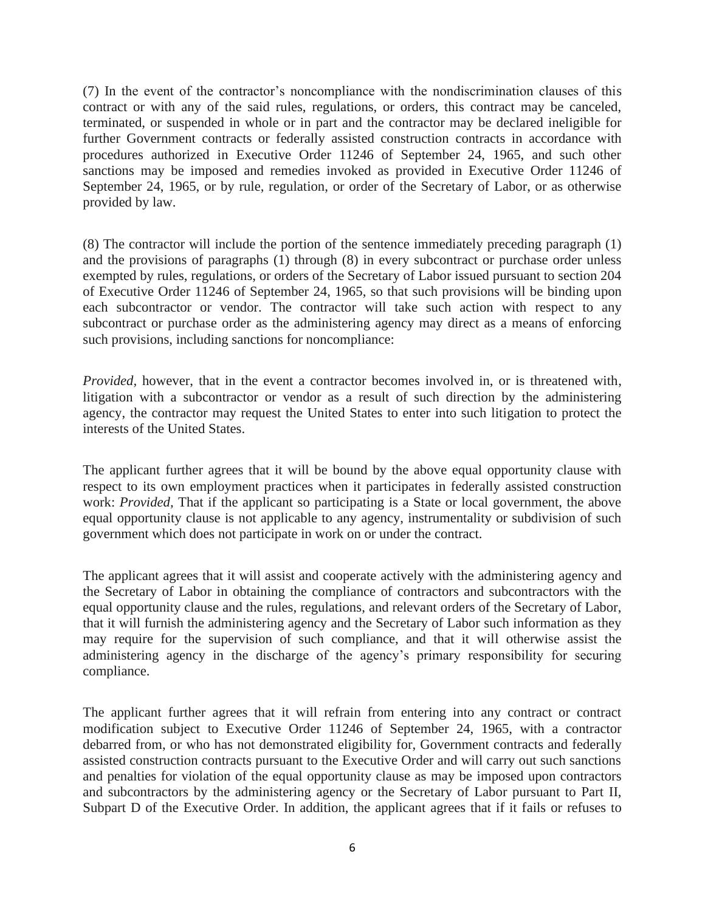(7) In the event of the contractor's noncompliance with the nondiscrimination clauses of this contract or with any of the said rules, regulations, or orders, this contract may be canceled, terminated, or suspended in whole or in part and the contractor may be declared ineligible for further Government contracts or federally assisted construction contracts in accordance with procedures authorized in Executive Order 11246 of September 24, 1965, and such other sanctions may be imposed and remedies invoked as provided in Executive Order 11246 of September 24, 1965, or by rule, regulation, or order of the Secretary of Labor, or as otherwise provided by law.

(8) The contractor will include the portion of the sentence immediately preceding paragraph (1) and the provisions of paragraphs (1) through (8) in every subcontract or purchase order unless exempted by rules, regulations, or orders of the Secretary of Labor issued pursuant to section 204 of Executive Order 11246 of September 24, 1965, so that such provisions will be binding upon each subcontractor or vendor. The contractor will take such action with respect to any subcontract or purchase order as the administering agency may direct as a means of enforcing such provisions, including sanctions for noncompliance:

*Provided,* however, that in the event a contractor becomes involved in, or is threatened with, litigation with a subcontractor or vendor as a result of such direction by the administering agency, the contractor may request the United States to enter into such litigation to protect the interests of the United States.

The applicant further agrees that it will be bound by the above equal opportunity clause with respect to its own employment practices when it participates in federally assisted construction work: *Provided,* That if the applicant so participating is a State or local government, the above equal opportunity clause is not applicable to any agency, instrumentality or subdivision of such government which does not participate in work on or under the contract.

The applicant agrees that it will assist and cooperate actively with the administering agency and the Secretary of Labor in obtaining the compliance of contractors and subcontractors with the equal opportunity clause and the rules, regulations, and relevant orders of the Secretary of Labor, that it will furnish the administering agency and the Secretary of Labor such information as they may require for the supervision of such compliance, and that it will otherwise assist the administering agency in the discharge of the agency's primary responsibility for securing compliance.

The applicant further agrees that it will refrain from entering into any contract or contract modification subject to Executive Order 11246 of September 24, 1965, with a contractor debarred from, or who has not demonstrated eligibility for, Government contracts and federally assisted construction contracts pursuant to the Executive Order and will carry out such sanctions and penalties for violation of the equal opportunity clause as may be imposed upon contractors and subcontractors by the administering agency or the Secretary of Labor pursuant to Part II, Subpart D of the Executive Order. In addition, the applicant agrees that if it fails or refuses to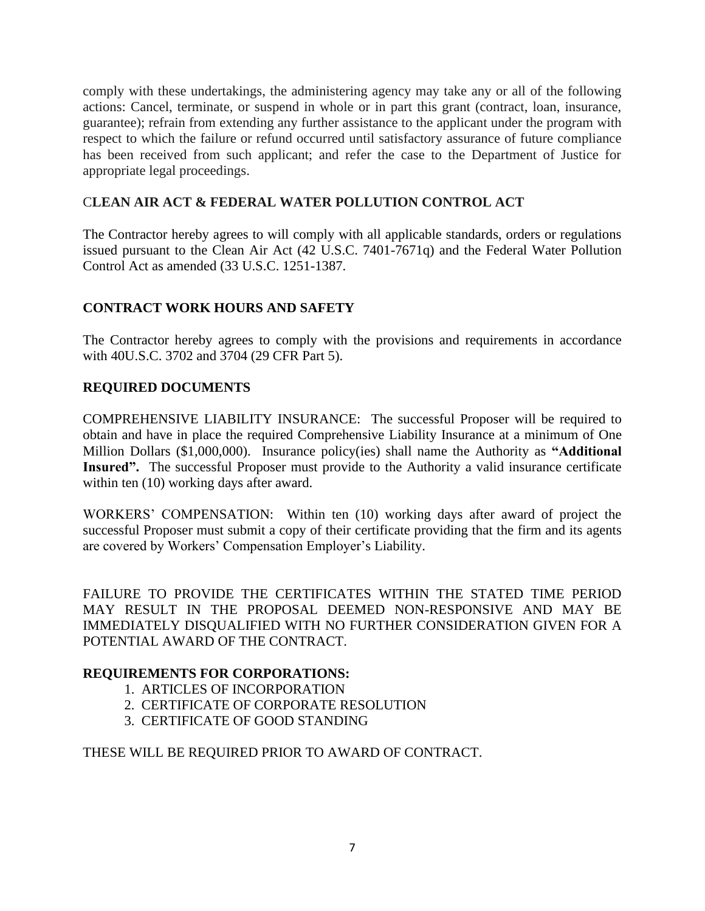comply with these undertakings, the administering agency may take any or all of the following actions: Cancel, terminate, or suspend in whole or in part this grant (contract, loan, insurance, guarantee); refrain from extending any further assistance to the applicant under the program with respect to which the failure or refund occurred until satisfactory assurance of future compliance has been received from such applicant; and refer the case to the Department of Justice for appropriate legal proceedings.

# C**LEAN AIR ACT & FEDERAL WATER POLLUTION CONTROL ACT**

The Contractor hereby agrees to will comply with all applicable standards, orders or regulations issued pursuant to the Clean Air Act (42 U.S.C. 7401-7671q) and the Federal Water Pollution Control Act as amended (33 U.S.C. 1251-1387.

# **CONTRACT WORK HOURS AND SAFETY**

The Contractor hereby agrees to comply with the provisions and requirements in accordance with 40U.S.C. 3702 and 3704 (29 CFR Part 5).

### **REQUIRED DOCUMENTS**

COMPREHENSIVE LIABILITY INSURANCE: The successful Proposer will be required to obtain and have in place the required Comprehensive Liability Insurance at a minimum of One Million Dollars (\$1,000,000). Insurance policy(ies) shall name the Authority as **"Additional**  Insured". The successful Proposer must provide to the Authority a valid insurance certificate within ten (10) working days after award.

WORKERS' COMPENSATION: Within ten (10) working days after award of project the successful Proposer must submit a copy of their certificate providing that the firm and its agents are covered by Workers' Compensation Employer's Liability.

FAILURE TO PROVIDE THE CERTIFICATES WITHIN THE STATED TIME PERIOD MAY RESULT IN THE PROPOSAL DEEMED NON-RESPONSIVE AND MAY BE IMMEDIATELY DISQUALIFIED WITH NO FURTHER CONSIDERATION GIVEN FOR A POTENTIAL AWARD OF THE CONTRACT.

### **REQUIREMENTS FOR CORPORATIONS:**

- 1. ARTICLES OF INCORPORATION
- 2. CERTIFICATE OF CORPORATE RESOLUTION
- 3. CERTIFICATE OF GOOD STANDING

THESE WILL BE REQUIRED PRIOR TO AWARD OF CONTRACT.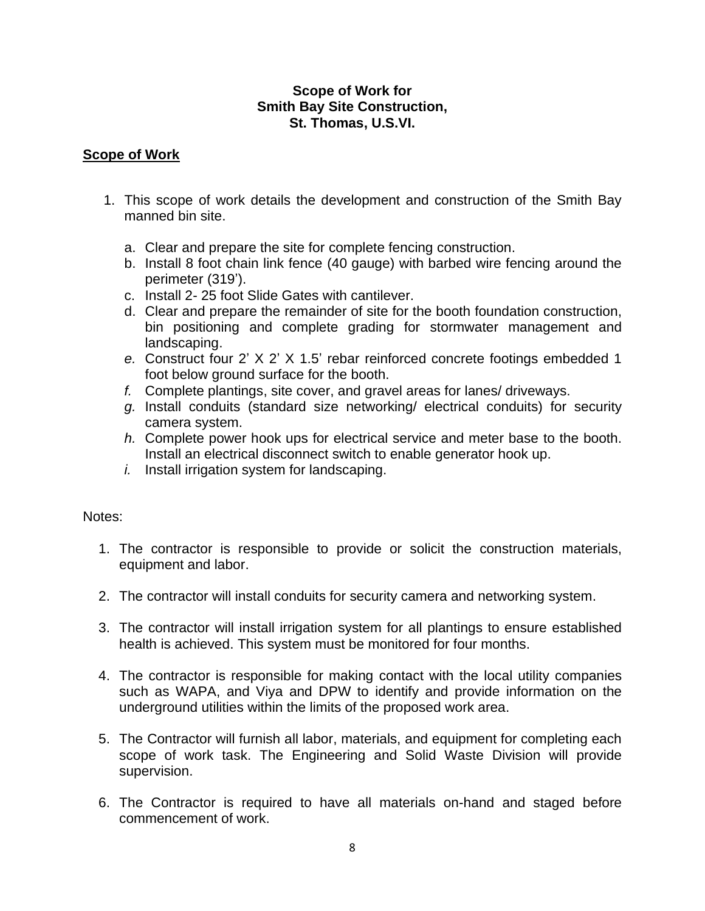### **Scope of Work for Smith Bay Site Construction, St. Thomas, U.S.VI.**

### **Scope of Work**

- 1. This scope of work details the development and construction of the Smith Bay manned bin site.
	- a. Clear and prepare the site for complete fencing construction.
	- b. Install 8 foot chain link fence (40 gauge) with barbed wire fencing around the perimeter (319').
	- c. Install 2- 25 foot Slide Gates with cantilever.
	- d. Clear and prepare the remainder of site for the booth foundation construction, bin positioning and complete grading for stormwater management and landscaping.
	- *e.* Construct four 2' X 2' X 1.5' rebar reinforced concrete footings embedded 1 foot below ground surface for the booth.
	- *f.* Complete plantings, site cover, and gravel areas for lanes/ driveways.
	- *g.* Install conduits (standard size networking/ electrical conduits) for security camera system.
	- *h.* Complete power hook ups for electrical service and meter base to the booth. Install an electrical disconnect switch to enable generator hook up.
	- *i.* Install irrigation system for landscaping.

### Notes:

- 1. The contractor is responsible to provide or solicit the construction materials, equipment and labor.
- 2. The contractor will install conduits for security camera and networking system.
- 3. The contractor will install irrigation system for all plantings to ensure established health is achieved. This system must be monitored for four months.
- 4. The contractor is responsible for making contact with the local utility companies such as WAPA, and Viya and DPW to identify and provide information on the underground utilities within the limits of the proposed work area.
- 5. The Contractor will furnish all labor, materials, and equipment for completing each scope of work task. The Engineering and Solid Waste Division will provide supervision.
- 6. The Contractor is required to have all materials on-hand and staged before commencement of work.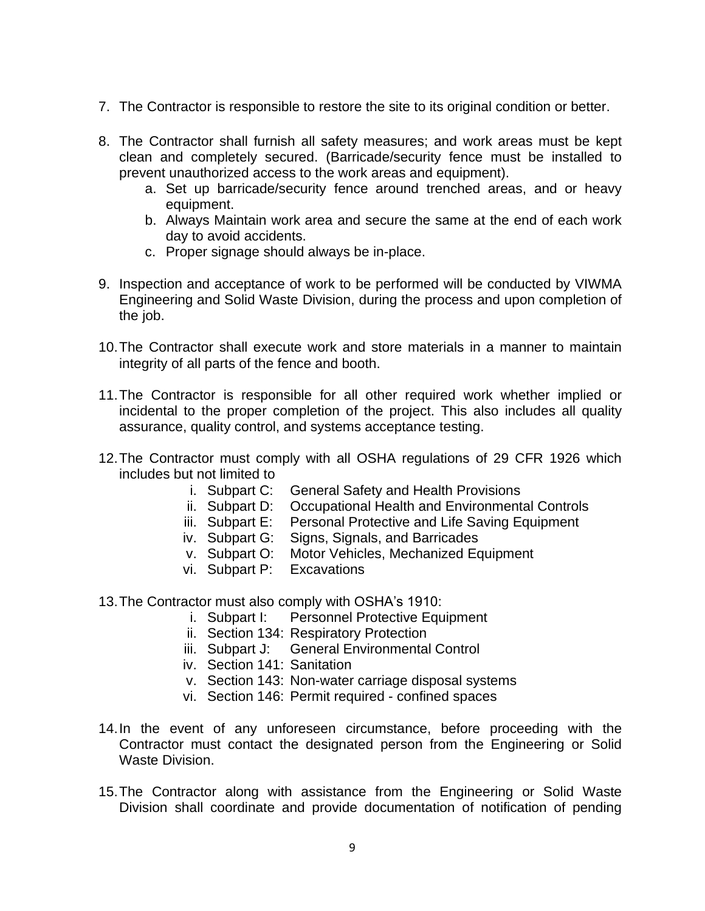- 7. The Contractor is responsible to restore the site to its original condition or better.
- 8. The Contractor shall furnish all safety measures; and work areas must be kept clean and completely secured. (Barricade/security fence must be installed to prevent unauthorized access to the work areas and equipment).
	- a. Set up barricade/security fence around trenched areas, and or heavy equipment.
	- b. Always Maintain work area and secure the same at the end of each work day to avoid accidents.
	- c. Proper signage should always be in-place.
- 9. Inspection and acceptance of work to be performed will be conducted by VIWMA Engineering and Solid Waste Division, during the process and upon completion of the job.
- 10.The Contractor shall execute work and store materials in a manner to maintain integrity of all parts of the fence and booth.
- 11.The Contractor is responsible for all other required work whether implied or incidental to the proper completion of the project. This also includes all quality assurance, quality control, and systems acceptance testing.
- 12.The Contractor must comply with all OSHA regulations of 29 CFR 1926 which includes but not limited to
	- i. Subpart C: General Safety and Health Provisions
	- ii. Subpart D: Occupational Health and Environmental Controls
	- iii. Subpart E: Personal Protective and Life Saving Equipment
	- iv. Subpart G: Signs, Signals, and Barricades
	- v. Subpart O: Motor Vehicles, Mechanized Equipment
	- vi. Subpart P: Excavations
- 13.The Contractor must also comply with OSHA's 1910:
	- i. Subpart I: Personnel Protective Equipment
	- ii. Section 134: Respiratory Protection
	- iii. Subpart J: General Environmental Control
	- iv. Section 141: Sanitation
	- v. Section 143: Non-water carriage disposal systems
	- vi. Section 146: Permit required confined spaces
- 14.In the event of any unforeseen circumstance, before proceeding with the Contractor must contact the designated person from the Engineering or Solid Waste Division.
- 15.The Contractor along with assistance from the Engineering or Solid Waste Division shall coordinate and provide documentation of notification of pending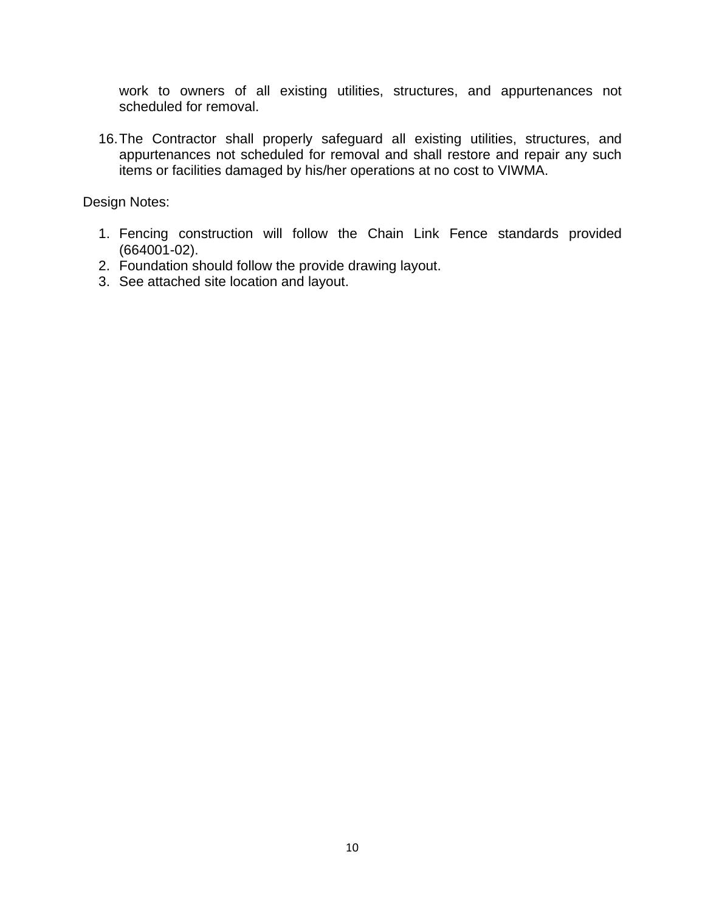work to owners of all existing utilities, structures, and appurtenances not scheduled for removal.

16.The Contractor shall properly safeguard all existing utilities, structures, and appurtenances not scheduled for removal and shall restore and repair any such items or facilities damaged by his/her operations at no cost to VIWMA.

Design Notes:

- 1. Fencing construction will follow the Chain Link Fence standards provided (664001-02).
- 2. Foundation should follow the provide drawing layout.
- 3. See attached site location and layout.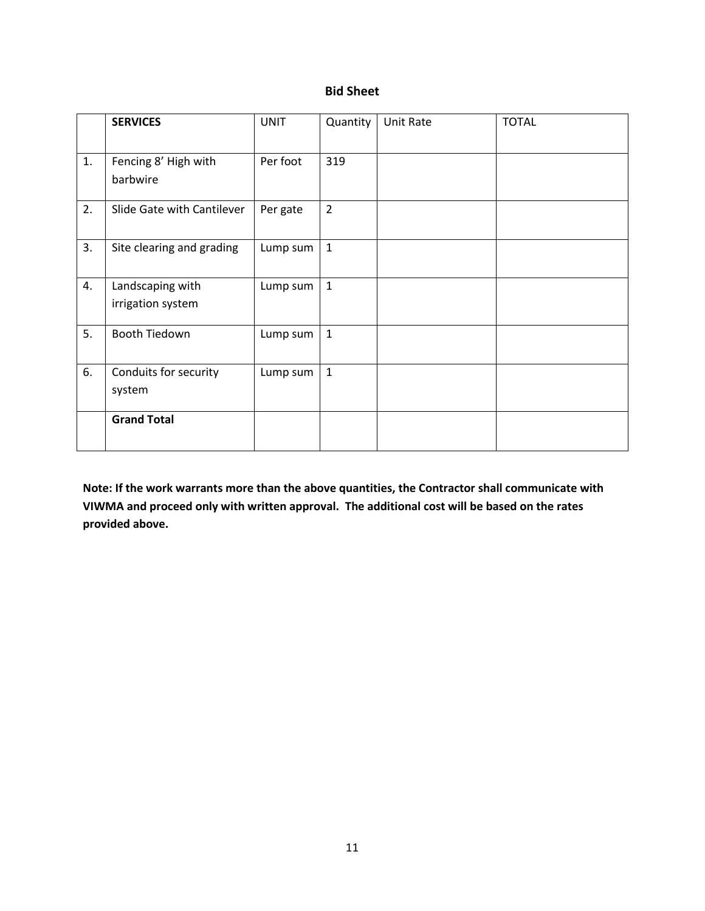### **Bid Sheet**

|    | <b>SERVICES</b>                       | <b>UNIT</b> | Quantity       | Unit Rate | <b>TOTAL</b> |
|----|---------------------------------------|-------------|----------------|-----------|--------------|
| 1. | Fencing 8' High with<br>barbwire      | Per foot    | 319            |           |              |
| 2. | Slide Gate with Cantilever            | Per gate    | $\overline{2}$ |           |              |
| 3. | Site clearing and grading             | Lump sum    | $\mathbf{1}$   |           |              |
| 4. | Landscaping with<br>irrigation system | Lump sum    | $\mathbf{1}$   |           |              |
| 5. | Booth Tiedown                         | Lump sum    | $\mathbf 1$    |           |              |
| 6. | Conduits for security<br>system       | Lump sum    | $\mathbf{1}$   |           |              |
|    | <b>Grand Total</b>                    |             |                |           |              |

**Note: If the work warrants more than the above quantities, the Contractor shall communicate with VIWMA and proceed only with written approval. The additional cost will be based on the rates provided above.**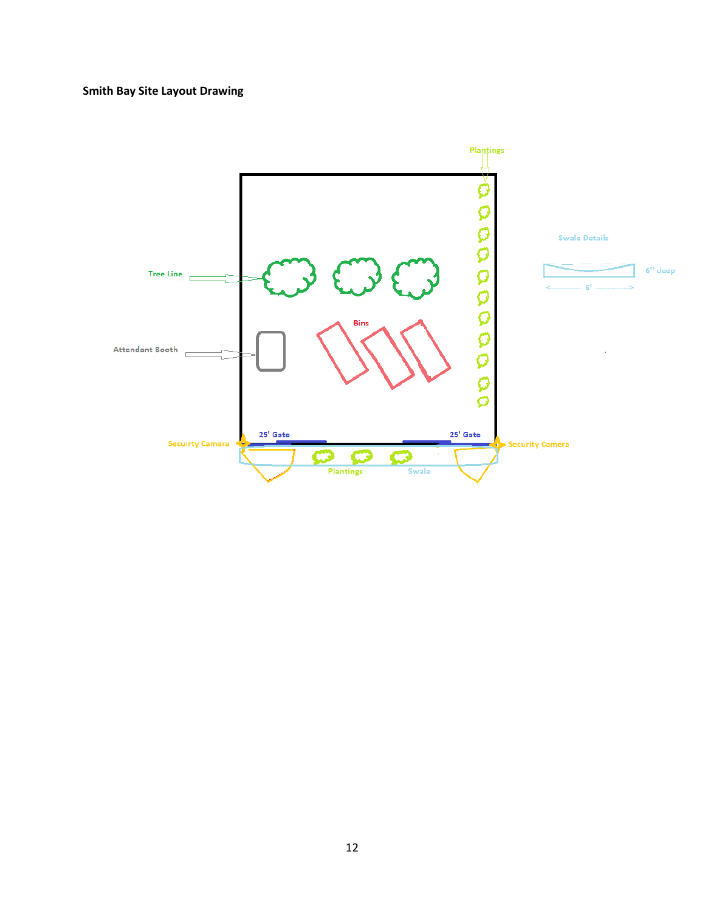# **Smith Bay Site Layout Drawing**